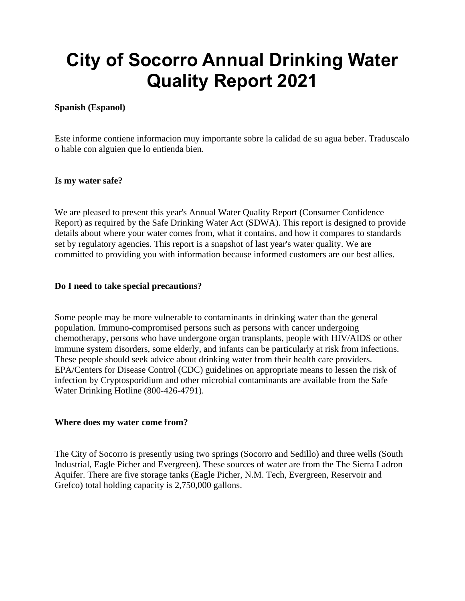# **City of Socorro Annual Drinking Water Quality Report 2021**

#### **Spanish (Espanol)**

Este informe contiene informacion muy importante sobre la calidad de su agua beber. Traduscalo o hable con alguien que lo entienda bien.

#### **Is my water safe?**

We are pleased to present this year's Annual Water Quality Report (Consumer Confidence Report) as required by the Safe Drinking Water Act (SDWA). This report is designed to provide details about where your water comes from, what it contains, and how it compares to standards set by regulatory agencies. This report is a snapshot of last year's water quality. We are committed to providing you with information because informed customers are our best allies.

#### **Do I need to take special precautions?**

Some people may be more vulnerable to contaminants in drinking water than the general population. Immuno-compromised persons such as persons with cancer undergoing chemotherapy, persons who have undergone organ transplants, people with HIV/AIDS or other immune system disorders, some elderly, and infants can be particularly at risk from infections. These people should seek advice about drinking water from their health care providers. EPA/Centers for Disease Control (CDC) guidelines on appropriate means to lessen the risk of infection by Cryptosporidium and other microbial contaminants are available from the Safe Water Drinking Hotline (800-426-4791).

#### **Where does my water come from?**

The City of Socorro is presently using two springs (Socorro and Sedillo) and three wells (South Industrial, Eagle Picher and Evergreen). These sources of water are from the The Sierra Ladron Aquifer. There are five storage tanks (Eagle Picher, N.M. Tech, Evergreen, Reservoir and Grefco) total holding capacity is 2,750,000 gallons.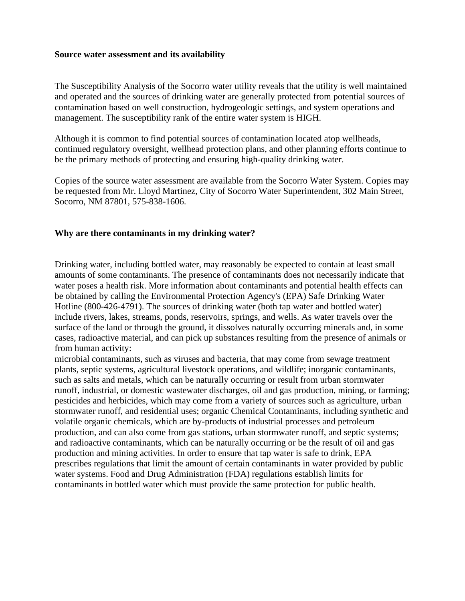#### **Source water assessment and its availability**

The Susceptibility Analysis of the Socorro water utility reveals that the utility is well maintained and operated and the sources of drinking water are generally protected from potential sources of contamination based on well construction, hydrogeologic settings, and system operations and management. The susceptibility rank of the entire water system is HIGH.

Although it is common to find potential sources of contamination located atop wellheads, continued regulatory oversight, wellhead protection plans, and other planning efforts continue to be the primary methods of protecting and ensuring high-quality drinking water.

Copies of the source water assessment are available from the Socorro Water System. Copies may be requested from Mr. Lloyd Martinez, City of Socorro Water Superintendent, 302 Main Street, Socorro, NM 87801, 575-838-1606.

#### **Why are there contaminants in my drinking water?**

Drinking water, including bottled water, may reasonably be expected to contain at least small amounts of some contaminants. The presence of contaminants does not necessarily indicate that water poses a health risk. More information about contaminants and potential health effects can be obtained by calling the Environmental Protection Agency's (EPA) Safe Drinking Water Hotline (800-426-4791). The sources of drinking water (both tap water and bottled water) include rivers, lakes, streams, ponds, reservoirs, springs, and wells. As water travels over the surface of the land or through the ground, it dissolves naturally occurring minerals and, in some cases, radioactive material, and can pick up substances resulting from the presence of animals or from human activity:

microbial contaminants, such as viruses and bacteria, that may come from sewage treatment plants, septic systems, agricultural livestock operations, and wildlife; inorganic contaminants, such as salts and metals, which can be naturally occurring or result from urban stormwater runoff, industrial, or domestic wastewater discharges, oil and gas production, mining, or farming; pesticides and herbicides, which may come from a variety of sources such as agriculture, urban stormwater runoff, and residential uses; organic Chemical Contaminants, including synthetic and volatile organic chemicals, which are by-products of industrial processes and petroleum production, and can also come from gas stations, urban stormwater runoff, and septic systems; and radioactive contaminants, which can be naturally occurring or be the result of oil and gas production and mining activities. In order to ensure that tap water is safe to drink, EPA prescribes regulations that limit the amount of certain contaminants in water provided by public water systems. Food and Drug Administration (FDA) regulations establish limits for contaminants in bottled water which must provide the same protection for public health.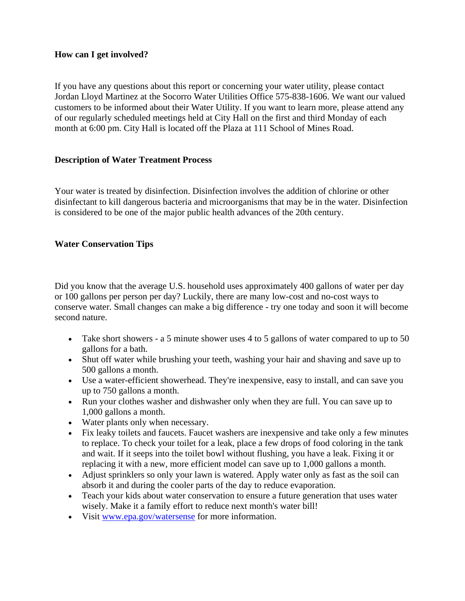#### **How can I get involved?**

If you have any questions about this report or concerning your water utility, please contact Jordan Lloyd Martinez at the Socorro Water Utilities Office 575-838-1606. We want our valued customers to be informed about their Water Utility. If you want to learn more, please attend any of our regularly scheduled meetings held at City Hall on the first and third Monday of each month at 6:00 pm. City Hall is located off the Plaza at 111 School of Mines Road.

#### **Description of Water Treatment Process**

Your water is treated by disinfection. Disinfection involves the addition of chlorine or other disinfectant to kill dangerous bacteria and microorganisms that may be in the water. Disinfection is considered to be one of the major public health advances of the 20th century.

#### **Water Conservation Tips**

Did you know that the average U.S. household uses approximately 400 gallons of water per day or 100 gallons per person per day? Luckily, there are many low-cost and no-cost ways to conserve water. Small changes can make a big difference - try one today and soon it will become second nature.

- Take short showers a 5 minute shower uses 4 to 5 gallons of water compared to up to 50 gallons for a bath.
- Shut off water while brushing your teeth, washing your hair and shaving and save up to 500 gallons a month.
- Use a water-efficient showerhead. They're inexpensive, easy to install, and can save you up to 750 gallons a month.
- Run your clothes washer and dishwasher only when they are full. You can save up to 1,000 gallons a month.
- Water plants only when necessary.
- Fix leaky toilets and faucets. Faucet washers are inexpensive and take only a few minutes to replace. To check your toilet for a leak, place a few drops of food coloring in the tank and wait. If it seeps into the toilet bowl without flushing, you have a leak. Fixing it or replacing it with a new, more efficient model can save up to 1,000 gallons a month.
- Adjust sprinklers so only your lawn is watered. Apply water only as fast as the soil can absorb it and during the cooler parts of the day to reduce evaporation.
- Teach your kids about water conservation to ensure a future generation that uses water wisely. Make it a family effort to reduce next month's water bill!
- Visit [www.epa.gov/watersense](http://www.epa.gov/watersense) for more information.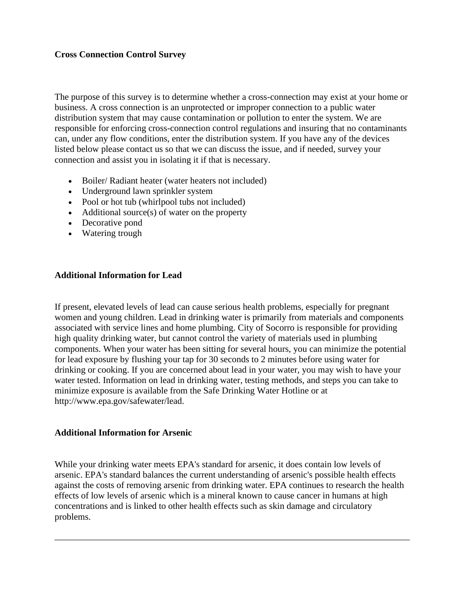#### **Cross Connection Control Survey**

The purpose of this survey is to determine whether a cross-connection may exist at your home or business. A cross connection is an unprotected or improper connection to a public water distribution system that may cause contamination or pollution to enter the system. We are responsible for enforcing cross-connection control regulations and insuring that no contaminants can, under any flow conditions, enter the distribution system. If you have any of the devices listed below please contact us so that we can discuss the issue, and if needed, survey your connection and assist you in isolating it if that is necessary.

- Boiler/ Radiant heater (water heaters not included)
- Underground lawn sprinkler system
- Pool or hot tub (whirlpool tubs not included)
- Additional source(s) of water on the property
- Decorative pond
- Watering trough

#### **Additional Information for Lead**

If present, elevated levels of lead can cause serious health problems, especially for pregnant women and young children. Lead in drinking water is primarily from materials and components associated with service lines and home plumbing. City of Socorro is responsible for providing high quality drinking water, but cannot control the variety of materials used in plumbing components. When your water has been sitting for several hours, you can minimize the potential for lead exposure by flushing your tap for 30 seconds to 2 minutes before using water for drinking or cooking. If you are concerned about lead in your water, you may wish to have your water tested. Information on lead in drinking water, testing methods, and steps you can take to minimize exposure is available from the Safe Drinking Water Hotline or at http://www.epa.gov/safewater/lead.

#### **Additional Information for Arsenic**

While your drinking water meets EPA's standard for arsenic, it does contain low levels of arsenic. EPA's standard balances the current understanding of arsenic's possible health effects against the costs of removing arsenic from drinking water. EPA continues to research the health effects of low levels of arsenic which is a mineral known to cause cancer in humans at high concentrations and is linked to other health effects such as skin damage and circulatory problems.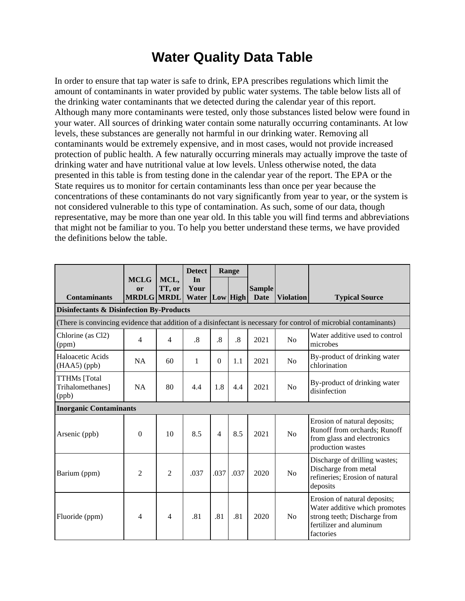## **Water Quality Data Table**

In order to ensure that tap water is safe to drink, EPA prescribes regulations which limit the amount of contaminants in water provided by public water systems. The table below lists all of the drinking water contaminants that we detected during the calendar year of this report. Although many more contaminants were tested, only those substances listed below were found in your water. All sources of drinking water contain some naturally occurring contaminants. At low levels, these substances are generally not harmful in our drinking water. Removing all contaminants would be extremely expensive, and in most cases, would not provide increased protection of public health. A few naturally occurring minerals may actually improve the taste of drinking water and have nutritional value at low levels. Unless otherwise noted, the data presented in this table is from testing done in the calendar year of the report. The EPA or the State requires us to monitor for certain contaminants less than once per year because the concentrations of these contaminants do not vary significantly from year to year, or the system is not considered vulnerable to this type of contamination. As such, some of our data, though representative, may be more than one year old. In this table you will find terms and abbreviations that might not be familiar to you. To help you better understand these terms, we have provided the definitions below the table.

|                                                     |                                               |                | <b>Detect</b>       |                 | Range     |                              |                  |                                                                                                                                       |
|-----------------------------------------------------|-----------------------------------------------|----------------|---------------------|-----------------|-----------|------------------------------|------------------|---------------------------------------------------------------------------------------------------------------------------------------|
| <b>Contaminants</b>                                 | <b>MCLG</b><br><b>or</b><br><b>MRDLG MRDL</b> | MCL,<br>TT, or | In<br>Your<br>Water |                 | Low High  | <b>Sample</b><br><b>Date</b> | <b>Violation</b> | <b>Typical Source</b>                                                                                                                 |
| <b>Disinfectants &amp; Disinfection By-Products</b> |                                               |                |                     |                 |           |                              |                  |                                                                                                                                       |
|                                                     |                                               |                |                     |                 |           |                              |                  | (There is convincing evidence that addition of a disinfectant is necessary for control of microbial contaminants)                     |
| Chlorine (as Cl2)<br>(ppm)                          | 4                                             | 4              | .8                  | $\overline{.8}$ | $\cdot$ 8 | 2021                         | No               | Water additive used to control<br>microbes                                                                                            |
| Haloacetic Acids<br>$(HAA5)$ (ppb)                  | <b>NA</b>                                     | 60             | 1                   | $\Omega$        | 1.1       | 2021                         | No               | By-product of drinking water<br>chlorination                                                                                          |
| <b>TTHMs</b> [Total<br>Trihalomethanes]<br>(ppb)    | NA                                            | 80             | 4.4                 | 1.8             | 4.4       | 2021                         | No               | By-product of drinking water<br>disinfection                                                                                          |
| <b>Inorganic Contaminants</b>                       |                                               |                |                     |                 |           |                              |                  |                                                                                                                                       |
| Arsenic (ppb)                                       | $\Omega$                                      | 10             | 8.5                 | $\overline{4}$  | 8.5       | 2021                         | No               | Erosion of natural deposits;<br>Runoff from orchards; Runoff<br>from glass and electronics<br>production wastes                       |
| Barium (ppm)                                        | 2                                             | $\overline{c}$ | .037                | .037            | .037      | 2020                         | No               | Discharge of drilling wastes;<br>Discharge from metal<br>refineries; Erosion of natural<br>deposits                                   |
| Fluoride (ppm)                                      | 4                                             | $\overline{4}$ | .81                 | .81             | .81       | 2020                         | No               | Erosion of natural deposits;<br>Water additive which promotes<br>strong teeth; Discharge from<br>fertilizer and aluminum<br>factories |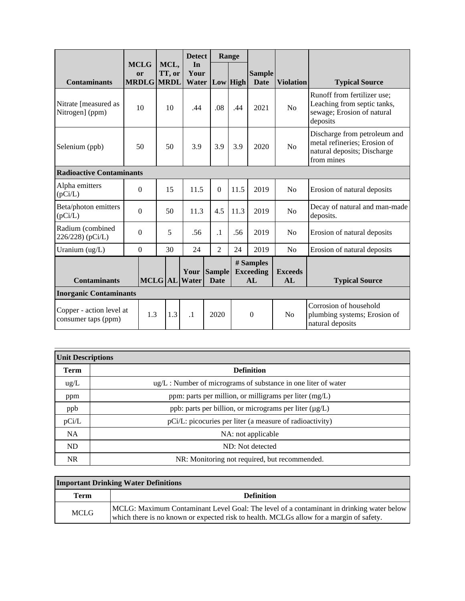|                                                 |                                               |     |                | <b>Detect</b>       |                              | Range |                                     |                      |                                                                                                           |
|-------------------------------------------------|-----------------------------------------------|-----|----------------|---------------------|------------------------------|-------|-------------------------------------|----------------------|-----------------------------------------------------------------------------------------------------------|
| <b>Contaminants</b>                             | <b>MCLG</b><br><b>or</b><br><b>MRDLG MRDL</b> |     | MCL,<br>TT, or | In<br>Your<br>Water | Low High                     |       | <b>Sample</b><br><b>Date</b>        | <b>Violation</b>     | <b>Typical Source</b>                                                                                     |
| Nitrate [measured as<br>Nitrogen] (ppm)         | 10                                            |     | 10             | .44                 | .08                          | .44   | 2021                                | N <sub>o</sub>       | Runoff from fertilizer use;<br>Leaching from septic tanks,<br>sewage; Erosion of natural<br>deposits      |
| Selenium (ppb)                                  | 50                                            |     | 50             | 3.9                 | 3.9                          | 3.9   | 2020                                | N <sub>o</sub>       | Discharge from petroleum and<br>metal refineries; Erosion of<br>natural deposits; Discharge<br>from mines |
| <b>Radioactive Contaminants</b>                 |                                               |     |                |                     |                              |       |                                     |                      |                                                                                                           |
| Alpha emitters<br>(pCi/L)                       | $\boldsymbol{0}$                              |     | 15             | 11.5                | $\overline{0}$               | 11.5  | 2019                                | N <sub>o</sub>       | Erosion of natural deposits                                                                               |
| Beta/photon emitters<br>(pCi/L)                 | $\boldsymbol{0}$                              |     | 50             | 11.3                | 4.5                          | 11.3  | 2019                                | N <sub>o</sub>       | Decay of natural and man-made<br>deposits.                                                                |
| Radium (combined<br>226/228) (pCi/L)            | $\theta$                                      |     | 5              | .56                 | $\cdot$ 1                    | .56   | 2019                                | N <sub>o</sub>       | Erosion of natural deposits                                                                               |
| Uranium (ug/L)                                  | $\boldsymbol{0}$                              |     | 30             | 24                  | $\overline{2}$               | 24    | 2019                                | N <sub>o</sub>       | Erosion of natural deposits                                                                               |
| <b>Contaminants</b>                             |                                               |     | <b>MCLG</b> AL | Your<br>Water       | <b>Sample</b><br><b>Date</b> |       | # Samples<br><b>Exceeding</b><br>AL | <b>Exceeds</b><br>AL | <b>Typical Source</b>                                                                                     |
| <b>Inorganic Contaminants</b>                   |                                               |     |                |                     |                              |       |                                     |                      |                                                                                                           |
| Copper - action level at<br>consumer taps (ppm) |                                               | 1.3 | 1.3            | $\cdot$ 1           | 2020                         |       | $\boldsymbol{0}$                    | N <sub>o</sub>       | Corrosion of household<br>plumbing systems; Erosion of<br>natural deposits                                |

| <b>Unit Descriptions</b> |                                                                     |  |  |  |  |
|--------------------------|---------------------------------------------------------------------|--|--|--|--|
| <b>Term</b>              | <b>Definition</b>                                                   |  |  |  |  |
| $\text{ug/L}$            | $\mu$ g/L : Number of micrograms of substance in one liter of water |  |  |  |  |
| ppm                      | ppm: parts per million, or milligrams per liter $(mg/L)$            |  |  |  |  |
| ppb                      | ppb: parts per billion, or micrograms per liter (µg/L)              |  |  |  |  |
| pCi/L                    | pCi/L: picocuries per liter (a measure of radioactivity)            |  |  |  |  |
| <b>NA</b>                | NA: not applicable                                                  |  |  |  |  |
| ND                       | ND: Not detected                                                    |  |  |  |  |
| NR.                      | NR: Monitoring not required, but recommended.                       |  |  |  |  |

### **Important Drinking Water Definitions**

| Term        | <b>Definition</b>                                                                                                                                                                   |
|-------------|-------------------------------------------------------------------------------------------------------------------------------------------------------------------------------------|
| <b>MCLG</b> | MCLG: Maximum Contaminant Level Goal: The level of a contaminant in drinking water below<br>which there is no known or expected risk to health. MCLGs allow for a margin of safety. |